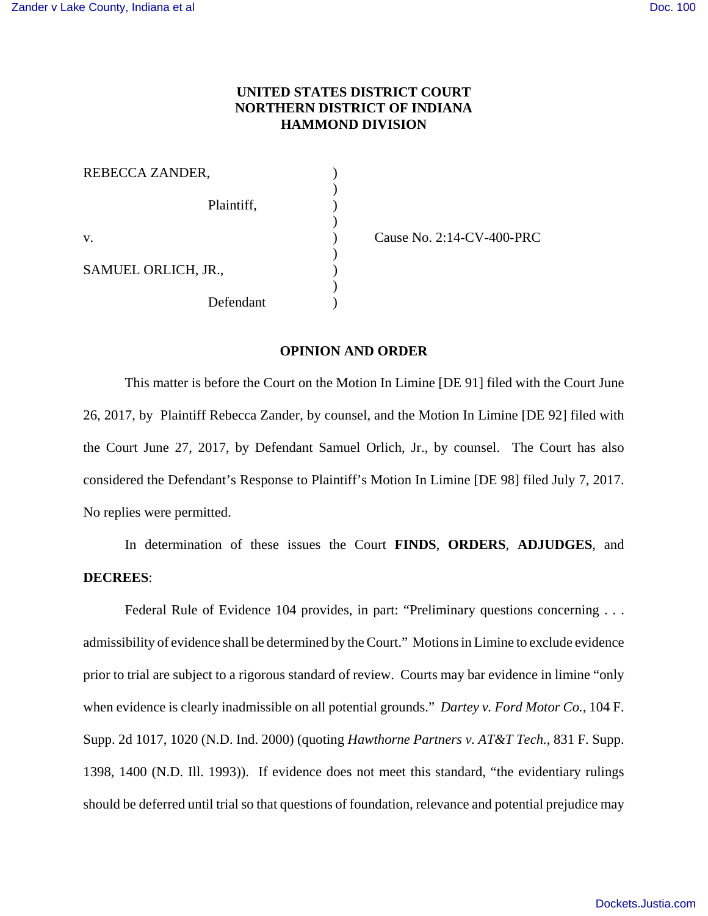## **UNITED STATES DISTRICT COURT NORTHERN DISTRICT OF INDIANA HAMMOND DIVISION**

| REBECCA ZANDER,     |  |
|---------------------|--|
| Plaintiff,          |  |
| $V_{\cdot}$         |  |
| SAMUEL ORLICH, JR., |  |
| Defendant           |  |

v. Cause No. 2:14-CV-400-PRC

## **OPINION AND ORDER**

This matter is before the Court on the Motion In Limine [DE 91] filed with the Court June 26, 2017, by Plaintiff Rebecca Zander, by counsel, and the Motion In Limine [DE 92] filed with the Court June 27, 2017, by Defendant Samuel Orlich, Jr., by counsel. The Court has also considered the Defendant's Response to Plaintiff's Motion In Limine [DE 98] filed July 7, 2017. No replies were permitted.

In determination of these issues the Court **FINDS**, **ORDERS**, **ADJUDGES**, and **DECREES**:

Federal Rule of Evidence 104 provides, in part: "Preliminary questions concerning . . . admissibility of evidence shall be determined by the Court." Motions in Limine to exclude evidence prior to trial are subject to a rigorous standard of review. Courts may bar evidence in limine "only when evidence is clearly inadmissible on all potential grounds." *Dartey v. Ford Motor Co.,* 104 F. Supp. 2d 1017, 1020 (N.D. Ind. 2000) (quoting *Hawthorne Partners v. AT&T Tech.*, 831 F. Supp. 1398, 1400 (N.D. Ill. 1993)). If evidence does not meet this standard, "the evidentiary rulings should be deferred until trial so that questions of foundation, relevance and potential prejudice may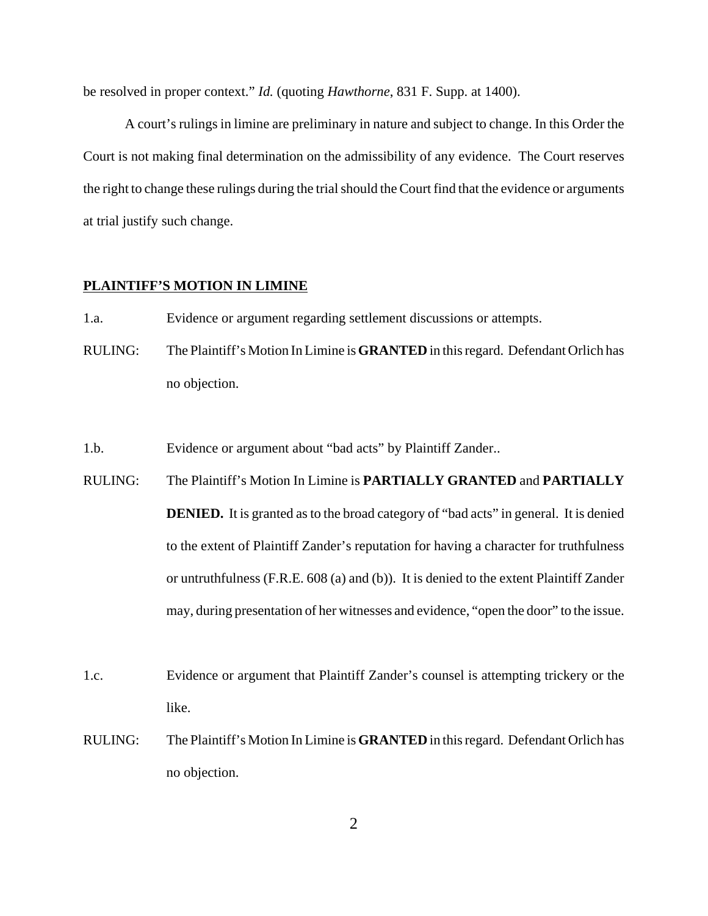be resolved in proper context." *Id.* (quoting *Hawthorne*, 831 F. Supp. at 1400).

A court's rulings in limine are preliminary in nature and subject to change. In this Order the Court is not making final determination on the admissibility of any evidence. The Court reserves the right to change these rulings during the trial should the Court find that the evidence or arguments at trial justify such change.

## **PLAINTIFF'S MOTION IN LIMINE**

- 1.a. Evidence or argument regarding settlement discussions or attempts.
- RULING: The Plaintiff's Motion In Limine is **GRANTED** in this regard. Defendant Orlich has no objection.

1.b. Evidence or argument about "bad acts" by Plaintiff Zander..

- RULING: The Plaintiff's Motion In Limine is **PARTIALLY GRANTED** and **PARTIALLY DENIED.** It is granted as to the broad category of "bad acts" in general. It is denied to the extent of Plaintiff Zander's reputation for having a character for truthfulness or untruthfulness (F.R.E. 608 (a) and (b)). It is denied to the extent Plaintiff Zander may, during presentation of her witnesses and evidence, "open the door" to the issue.
- 1.c. Evidence or argument that Plaintiff Zander's counsel is attempting trickery or the like.
- RULING: The Plaintiff's Motion In Limine is **GRANTED** in this regard. Defendant Orlich has no objection.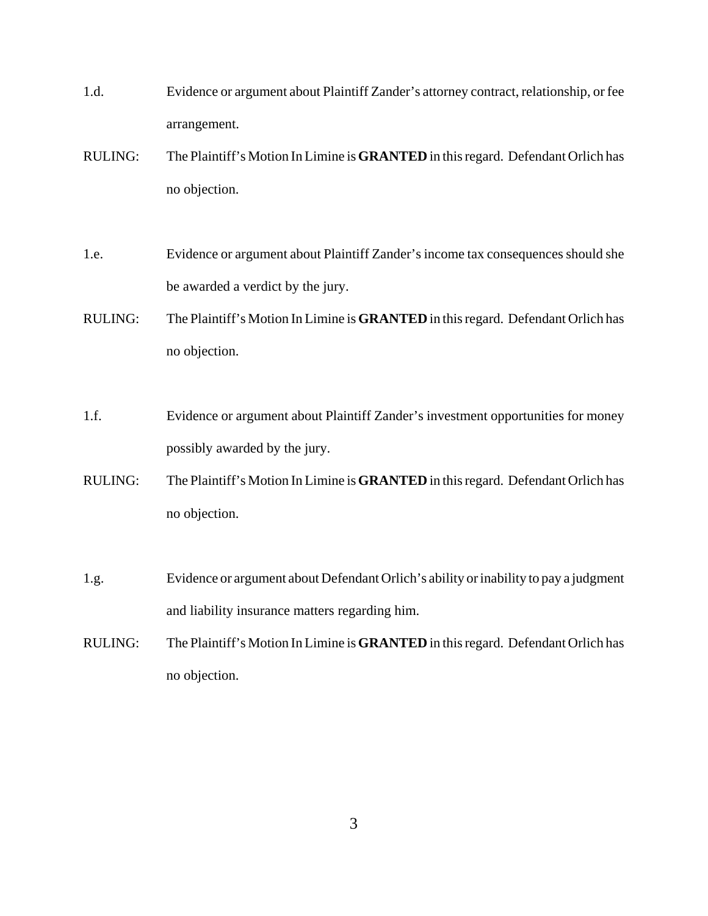- 1.d. Evidence or argument about Plaintiff Zander's attorney contract, relationship, or fee arrangement.
- RULING: The Plaintiff's Motion In Limine is **GRANTED** in this regard. Defendant Orlich has no objection.
- 1.e. Evidence or argument about Plaintiff Zander's income tax consequences should she be awarded a verdict by the jury.
- RULING: The Plaintiff's Motion In Limine is **GRANTED** in this regard. Defendant Orlich has no objection.
- 1.f. Evidence or argument about Plaintiff Zander's investment opportunities for money possibly awarded by the jury.
- RULING: The Plaintiff's Motion In Limine is **GRANTED** in this regard. Defendant Orlich has no objection.
- 1.g. Evidence or argument about Defendant Orlich's ability or inability to pay a judgment and liability insurance matters regarding him.
- RULING: The Plaintiff's Motion In Limine is **GRANTED** in this regard. Defendant Orlich has no objection.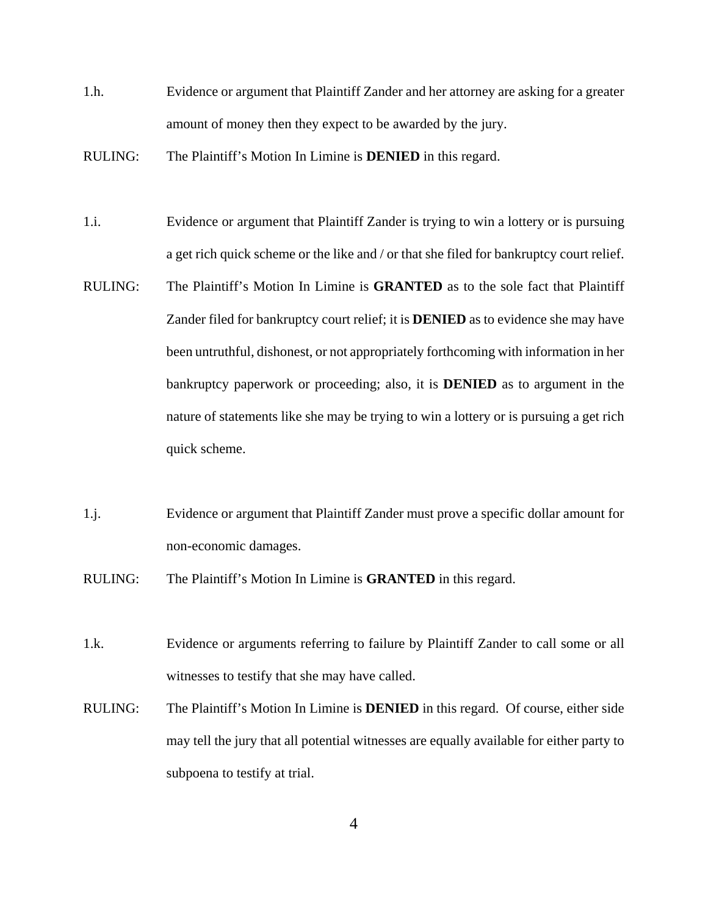- 1.h. Evidence or argument that Plaintiff Zander and her attorney are asking for a greater amount of money then they expect to be awarded by the jury.
- RULING: The Plaintiff's Motion In Limine is **DENIED** in this regard.
- 1.i. Evidence or argument that Plaintiff Zander is trying to win a lottery or is pursuing a get rich quick scheme or the like and / or that she filed for bankruptcy court relief.
- RULING: The Plaintiff's Motion In Limine is **GRANTED** as to the sole fact that Plaintiff Zander filed for bankruptcy court relief; it is **DENIED** as to evidence she may have been untruthful, dishonest, or not appropriately forthcoming with information in her bankruptcy paperwork or proceeding; also, it is **DENIED** as to argument in the nature of statements like she may be trying to win a lottery or is pursuing a get rich quick scheme.
- 1.j. Evidence or argument that Plaintiff Zander must prove a specific dollar amount for non-economic damages.
- RULING: The Plaintiff's Motion In Limine is **GRANTED** in this regard.
- 1.k. Evidence or arguments referring to failure by Plaintiff Zander to call some or all witnesses to testify that she may have called.
- RULING: The Plaintiff's Motion In Limine is **DENIED** in this regard. Of course, either side may tell the jury that all potential witnesses are equally available for either party to subpoena to testify at trial.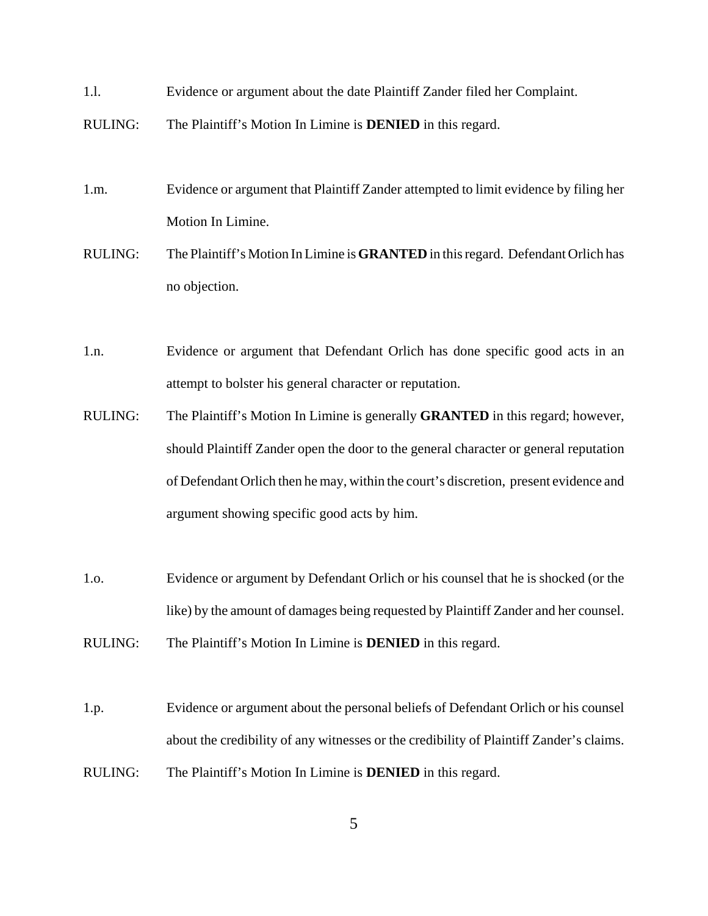- 1.l. Evidence or argument about the date Plaintiff Zander filed her Complaint.
- RULING: The Plaintiff's Motion In Limine is **DENIED** in this regard.
- 1.m. Evidence or argument that Plaintiff Zander attempted to limit evidence by filing her Motion In Limine.
- RULING: The Plaintiff's Motion In Limine is **GRANTED** in this regard. Defendant Orlich has no objection.
- 1.n. Evidence or argument that Defendant Orlich has done specific good acts in an attempt to bolster his general character or reputation.
- RULING: The Plaintiff's Motion In Limine is generally **GRANTED** in this regard; however, should Plaintiff Zander open the door to the general character or general reputation of Defendant Orlich then he may, within the court's discretion, present evidence and argument showing specific good acts by him.
- 1.o. Evidence or argument by Defendant Orlich or his counsel that he is shocked (or the like) by the amount of damages being requested by Plaintiff Zander and her counsel.
- RULING: The Plaintiff's Motion In Limine is **DENIED** in this regard.
- 1.p. Evidence or argument about the personal beliefs of Defendant Orlich or his counsel about the credibility of any witnesses or the credibility of Plaintiff Zander's claims. RULING: The Plaintiff's Motion In Limine is **DENIED** in this regard.
	- 5